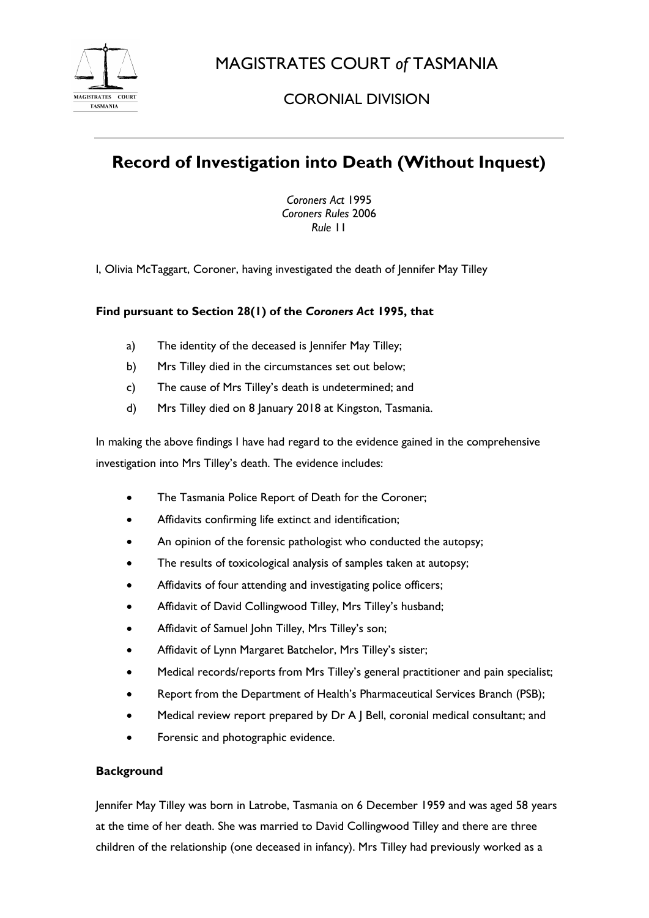

MAGISTRATES COURT *of* TASMANIA

# CORONIAL DIVISION

# **Record of Investigation into Death (Without Inquest)**

*Coroners Act* 1995 *Coroners Rules* 2006 *Rule* 11

I, Olivia McTaggart, Coroner, having investigated the death of Jennifer May Tilley

## **Find pursuant to Section 28(1) of the** *Coroners Act* **1995, that**

- a) The identity of the deceased is Jennifer May Tilley;
- b) Mrs Tilley died in the circumstances set out below;
- c) The cause of Mrs Tilley's death is undetermined; and
- d) Mrs Tilley died on 8 January 2018 at Kingston, Tasmania.

In making the above findings I have had regard to the evidence gained in the comprehensive investigation into Mrs Tilley's death. The evidence includes:

- The Tasmania Police Report of Death for the Coroner;
- Affidavits confirming life extinct and identification;
- An opinion of the forensic pathologist who conducted the autopsy;
- The results of toxicological analysis of samples taken at autopsy;
- Affidavits of four attending and investigating police officers;
- Affidavit of David Collingwood Tilley, Mrs Tilley's husband;
- Affidavit of Samuel John Tilley, Mrs Tilley's son;
- Affidavit of Lynn Margaret Batchelor, Mrs Tilley's sister;
- Medical records/reports from Mrs Tilley's general practitioner and pain specialist;
- Report from the Department of Health's Pharmaceutical Services Branch (PSB);
- Medical review report prepared by Dr A J Bell, coronial medical consultant; and
- Forensic and photographic evidence.

### **Background**

Jennifer May Tilley was born in Latrobe, Tasmania on 6 December 1959 and was aged 58 years at the time of her death. She was married to David Collingwood Tilley and there are three children of the relationship (one deceased in infancy). Mrs Tilley had previously worked as a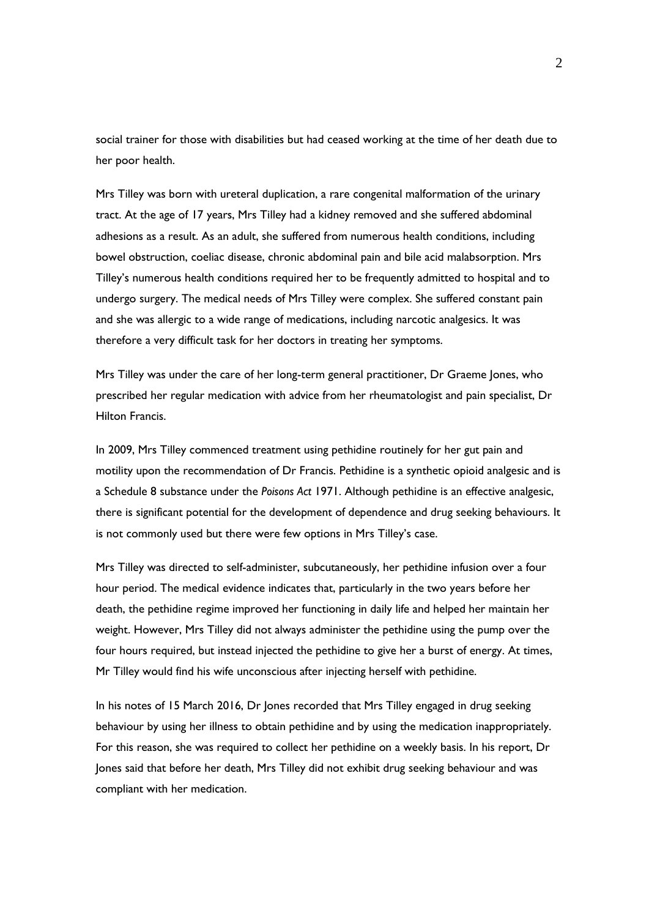social trainer for those with disabilities but had ceased working at the time of her death due to her poor health.

Mrs Tilley was born with ureteral duplication, a rare congenital malformation of the urinary tract. At the age of 17 years, Mrs Tilley had a kidney removed and she suffered abdominal adhesions as a result. As an adult, she suffered from numerous health conditions, including bowel obstruction, coeliac disease, chronic abdominal pain and bile acid malabsorption. Mrs Tilley's numerous health conditions required her to be frequently admitted to hospital and to undergo surgery. The medical needs of Mrs Tilley were complex. She suffered constant pain and she was allergic to a wide range of medications, including narcotic analgesics. It was therefore a very difficult task for her doctors in treating her symptoms.

Mrs Tilley was under the care of her long-term general practitioner, Dr Graeme Jones, who prescribed her regular medication with advice from her rheumatologist and pain specialist, Dr Hilton Francis.

In 2009, Mrs Tilley commenced treatment using pethidine routinely for her gut pain and motility upon the recommendation of Dr Francis. Pethidine is a synthetic opioid analgesic and is a Schedule 8 substance under the *Poisons Act* 1971. Although pethidine is an effective analgesic, there is significant potential for the development of dependence and drug seeking behaviours. It is not commonly used but there were few options in Mrs Tilley's case.

Mrs Tilley was directed to self-administer, subcutaneously, her pethidine infusion over a four hour period. The medical evidence indicates that, particularly in the two years before her death, the pethidine regime improved her functioning in daily life and helped her maintain her weight. However, Mrs Tilley did not always administer the pethidine using the pump over the four hours required, but instead injected the pethidine to give her a burst of energy. At times, Mr Tilley would find his wife unconscious after injecting herself with pethidine.

In his notes of 15 March 2016, Dr Jones recorded that Mrs Tilley engaged in drug seeking behaviour by using her illness to obtain pethidine and by using the medication inappropriately. For this reason, she was required to collect her pethidine on a weekly basis. In his report, Dr Jones said that before her death, Mrs Tilley did not exhibit drug seeking behaviour and was compliant with her medication.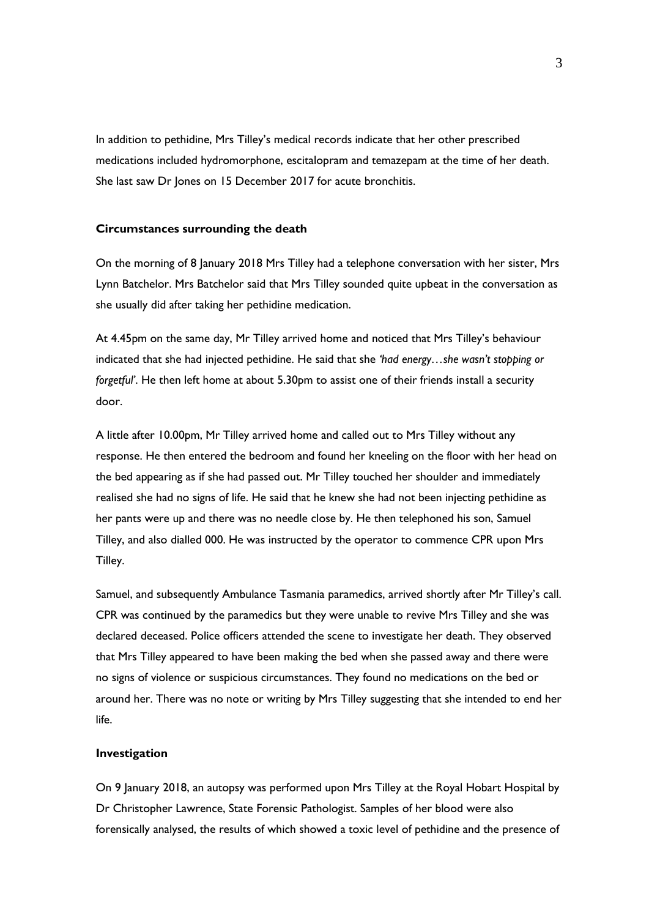In addition to pethidine, Mrs Tilley's medical records indicate that her other prescribed medications included hydromorphone, escitalopram and temazepam at the time of her death. She last saw Dr Jones on 15 December 2017 for acute bronchitis.

#### **Circumstances surrounding the death**

On the morning of 8 January 2018 Mrs Tilley had a telephone conversation with her sister, Mrs Lynn Batchelor. Mrs Batchelor said that Mrs Tilley sounded quite upbeat in the conversation as she usually did after taking her pethidine medication.

At 4.45pm on the same day, Mr Tilley arrived home and noticed that Mrs Tilley's behaviour indicated that she had injected pethidine. He said that she *'had energy…she wasn't stopping or forgetful'*. He then left home at about 5.30pm to assist one of their friends install a security door.

A little after 10.00pm, Mr Tilley arrived home and called out to Mrs Tilley without any response. He then entered the bedroom and found her kneeling on the floor with her head on the bed appearing as if she had passed out. Mr Tilley touched her shoulder and immediately realised she had no signs of life. He said that he knew she had not been injecting pethidine as her pants were up and there was no needle close by. He then telephoned his son, Samuel Tilley, and also dialled 000. He was instructed by the operator to commence CPR upon Mrs Tilley.

Samuel, and subsequently Ambulance Tasmania paramedics, arrived shortly after Mr Tilley's call. CPR was continued by the paramedics but they were unable to revive Mrs Tilley and she was declared deceased. Police officers attended the scene to investigate her death. They observed that Mrs Tilley appeared to have been making the bed when she passed away and there were no signs of violence or suspicious circumstances. They found no medications on the bed or around her. There was no note or writing by Mrs Tilley suggesting that she intended to end her life.

#### **Investigation**

On 9 January 2018, an autopsy was performed upon Mrs Tilley at the Royal Hobart Hospital by Dr Christopher Lawrence, State Forensic Pathologist. Samples of her blood were also forensically analysed, the results of which showed a toxic level of pethidine and the presence of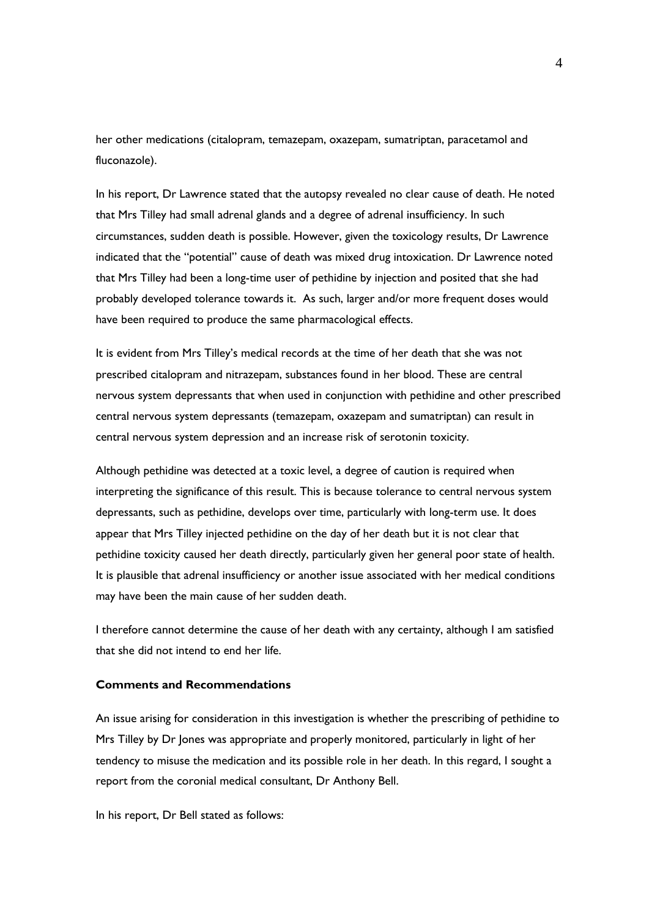her other medications (citalopram, temazepam, oxazepam, sumatriptan, paracetamol and fluconazole).

In his report, Dr Lawrence stated that the autopsy revealed no clear cause of death. He noted that Mrs Tilley had small adrenal glands and a degree of adrenal insufficiency. In such circumstances, sudden death is possible. However, given the toxicology results, Dr Lawrence indicated that the "potential" cause of death was mixed drug intoxication. Dr Lawrence noted that Mrs Tilley had been a long-time user of pethidine by injection and posited that she had probably developed tolerance towards it. As such, larger and/or more frequent doses would have been required to produce the same pharmacological effects.

It is evident from Mrs Tilley's medical records at the time of her death that she was not prescribed citalopram and nitrazepam, substances found in her blood. These are central nervous system depressants that when used in conjunction with pethidine and other prescribed central nervous system depressants (temazepam, oxazepam and sumatriptan) can result in central nervous system depression and an increase risk of serotonin toxicity.

Although pethidine was detected at a toxic level, a degree of caution is required when interpreting the significance of this result. This is because tolerance to central nervous system depressants, such as pethidine, develops over time, particularly with long-term use. It does appear that Mrs Tilley injected pethidine on the day of her death but it is not clear that pethidine toxicity caused her death directly, particularly given her general poor state of health. It is plausible that adrenal insufficiency or another issue associated with her medical conditions may have been the main cause of her sudden death.

I therefore cannot determine the cause of her death with any certainty, although I am satisfied that she did not intend to end her life.

### **Comments and Recommendations**

An issue arising for consideration in this investigation is whether the prescribing of pethidine to Mrs Tilley by Dr Jones was appropriate and properly monitored, particularly in light of her tendency to misuse the medication and its possible role in her death. In this regard, I sought a report from the coronial medical consultant, Dr Anthony Bell.

In his report, Dr Bell stated as follows: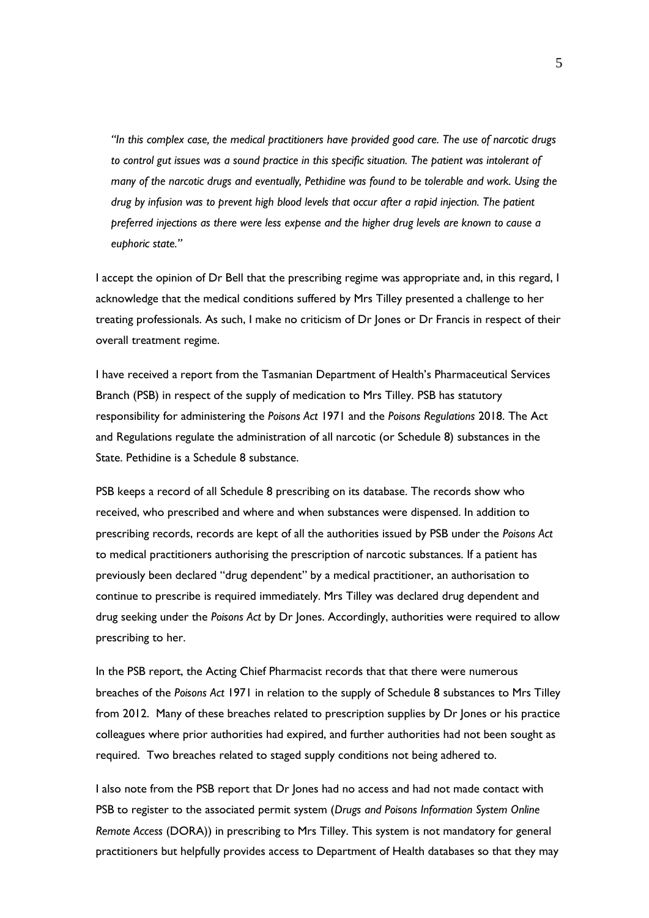*"In this complex case, the medical practitioners have provided good care. The use of narcotic drugs to control gut issues was a sound practice in this specific situation. The patient was intolerant of many of the narcotic drugs and eventually, Pethidine was found to be tolerable and work. Using the drug by infusion was to prevent high blood levels that occur after a rapid injection. The patient preferred injections as there were less expense and the higher drug levels are known to cause a euphoric state."*

I accept the opinion of Dr Bell that the prescribing regime was appropriate and, in this regard, I acknowledge that the medical conditions suffered by Mrs Tilley presented a challenge to her treating professionals. As such, I make no criticism of Dr Jones or Dr Francis in respect of their overall treatment regime.

I have received a report from the Tasmanian Department of Health's Pharmaceutical Services Branch (PSB) in respect of the supply of medication to Mrs Tilley. PSB has statutory responsibility for administering the *Poisons Act* 1971 and the *Poisons Regulations* 2018. The Act and Regulations regulate the administration of all narcotic (or Schedule 8) substances in the State. Pethidine is a Schedule 8 substance.

PSB keeps a record of all Schedule 8 prescribing on its database. The records show who received, who prescribed and where and when substances were dispensed. In addition to prescribing records, records are kept of all the authorities issued by PSB under the *Poisons Act* to medical practitioners authorising the prescription of narcotic substances. If a patient has previously been declared "drug dependent" by a medical practitioner, an authorisation to continue to prescribe is required immediately. Mrs Tilley was declared drug dependent and drug seeking under the *Poisons Act* by Dr Jones. Accordingly, authorities were required to allow prescribing to her.

In the PSB report, the Acting Chief Pharmacist records that that there were numerous breaches of the *Poisons Act* 1971 in relation to the supply of Schedule 8 substances to Mrs Tilley from 2012. Many of these breaches related to prescription supplies by Dr Jones or his practice colleagues where prior authorities had expired, and further authorities had not been sought as required. Two breaches related to staged supply conditions not being adhered to.

I also note from the PSB report that Dr Jones had no access and had not made contact with PSB to register to the associated permit system (*Drugs and Poisons Information System Online Remote Access* (DORA)) in prescribing to Mrs Tilley. This system is not mandatory for general practitioners but helpfully provides access to Department of Health databases so that they may